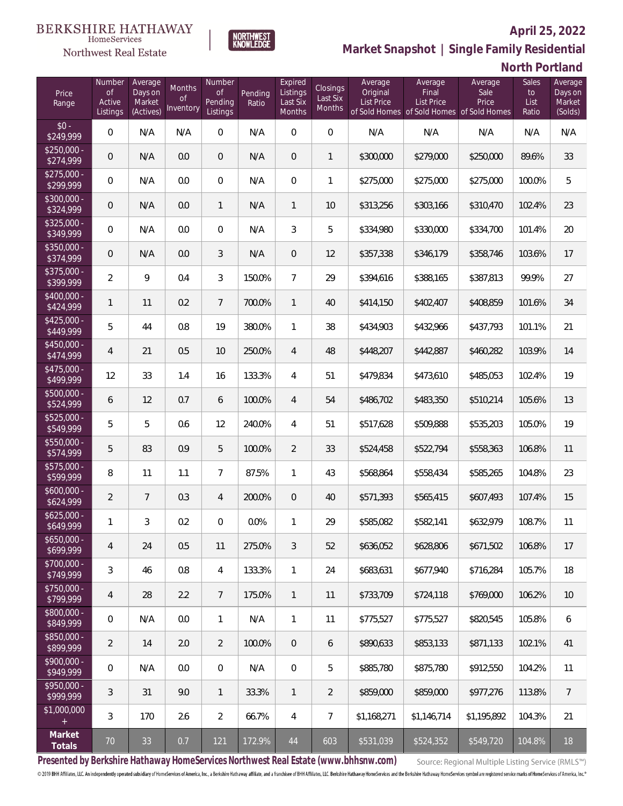

**NORTHWEST**<br>KNOWLEDGE

Northwest Real Estate

# **Market Snapshot | Single Family Residential**

**North Portland** 

| Price<br>Range            | Number<br>of<br>Active<br>Listings | Average<br>Days on<br>Market<br>(Actives) | Months<br>Οf<br>Inventory | Number<br><b>of</b><br>Pending<br>Listings | Pending<br>Ratio | Expired<br>Listings<br>Last Six<br>Months | Closings<br>Last Six<br>Months | Average<br>Original<br><b>List Price</b> | Average<br>Final<br><b>List Price</b><br>of Sold Homes of Sold Homes of Sold Homes | Average<br>Sale<br>Price | Sales<br>to<br>List<br>Ratio | Average<br>Days on<br>Market<br>(Solds) |
|---------------------------|------------------------------------|-------------------------------------------|---------------------------|--------------------------------------------|------------------|-------------------------------------------|--------------------------------|------------------------------------------|------------------------------------------------------------------------------------|--------------------------|------------------------------|-----------------------------------------|
| $$0 -$<br>\$249,999       | $\overline{0}$                     | N/A                                       | N/A                       | $\overline{0}$                             | N/A              | $\Omega$                                  | $\overline{0}$                 | N/A                                      | N/A                                                                                | N/A                      | N/A                          | N/A                                     |
| $$250,000 -$<br>\$274,999 | $\overline{0}$                     | N/A                                       | 0.0                       | $\overline{0}$                             | N/A              | $\overline{0}$                            | $\mathbf{1}$                   | \$300,000                                | \$279,000                                                                          | \$250,000                | 89.6%                        | 33                                      |
| $$275,000 -$<br>\$299,999 | $\overline{0}$                     | N/A                                       | 0.0                       | $\overline{0}$                             | N/A              | $\overline{0}$                            | $\mathbf{1}$                   | \$275,000                                | \$275,000                                                                          | \$275,000                | 100.0%                       | 5                                       |
| $$300,000 -$<br>\$324,999 | 0                                  | N/A                                       | 0.0                       | $\mathbf{1}$                               | N/A              | $\mathbf{1}$                              | 10                             | \$313,256                                | \$303,166                                                                          | \$310,470                | 102.4%                       | 23                                      |
| $$325,000 -$<br>\$349,999 | $\overline{0}$                     | N/A                                       | 0.0                       | $\overline{0}$                             | N/A              | 3                                         | 5                              | \$334,980                                | \$330,000                                                                          | \$334,700                | 101.4%                       | 20                                      |
| $$350,000 -$<br>\$374,999 | $\overline{0}$                     | N/A                                       | 0.0                       | 3                                          | N/A              | $\overline{0}$                            | 12                             | \$357,338                                | \$346,179                                                                          | \$358,746                | 103.6%                       | 17                                      |
| $$375,000 -$<br>\$399,999 | $\overline{2}$                     | 9                                         | 0.4                       | $\mathfrak{Z}$                             | 150.0%           | $7\overline{ }$                           | 29                             | \$394,616                                | \$388,165                                                                          | \$387,813                | 99.9%                        | 27                                      |
| $$400,000 -$<br>\$424,999 | 1                                  | 11                                        | 0.2                       | $7\overline{ }$                            | 700.0%           | $\mathbf{1}$                              | 40                             | \$414,150                                | \$402,407                                                                          | \$408,859                | 101.6%                       | 34                                      |
| $$425,000 -$<br>\$449,999 | 5                                  | 44                                        | 0.8                       | 19                                         | 380.0%           | $\mathbf{1}$                              | 38                             | \$434,903                                | \$432,966                                                                          | \$437,793                | 101.1%                       | 21                                      |
| $$450,000 -$<br>\$474,999 | 4                                  | 21                                        | 0.5                       | 10                                         | 250.0%           | $\overline{4}$                            | 48                             | \$448,207                                | \$442,887                                                                          | \$460,282                | 103.9%                       | 14                                      |
| $$475,000 -$<br>\$499,999 | 12                                 | 33                                        | 1.4                       | 16                                         | 133.3%           | $\overline{4}$                            | 51                             | \$479,834                                | \$473,610                                                                          | \$485,053                | 102.4%                       | 19                                      |
| $$500,000 -$<br>\$524,999 | 6                                  | 12                                        | 0.7                       | 6                                          | 100.0%           | $\overline{4}$                            | 54                             | \$486,702                                | \$483,350                                                                          | \$510,214                | 105.6%                       | 13                                      |
| $$525,000 -$<br>\$549,999 | 5                                  | 5                                         | 0.6                       | 12                                         | 240.0%           | $\overline{4}$                            | 51                             | \$517,628                                | \$509,888                                                                          | \$535,203                | 105.0%                       | 19                                      |
| $$550,000 -$<br>\$574,999 | 5                                  | 83                                        | 0.9                       | 5                                          | 100.0%           | $\overline{2}$                            | 33                             | \$524,458                                | \$522,794                                                                          | \$558,363                | 106.8%                       | 11                                      |
| $$575,000 -$<br>\$599,999 | 8                                  | 11                                        | 1.1                       | $\overline{7}$                             | 87.5%            | $\mathbf{1}$                              | 43                             | \$568,864                                | \$558,434                                                                          | \$585,265                | 104.8%                       | 23                                      |
| $$600,000 -$<br>\$624,999 | $\overline{2}$                     | $\overline{7}$                            | 0.3                       | $\overline{4}$                             | 200.0%           | $\overline{0}$                            | 40                             | \$571,393                                | \$565,415                                                                          | \$607,493                | 107.4%                       | 15                                      |
| $$625,000 -$<br>\$649,999 | 1                                  | $\mathfrak{Z}$                            | 0.2                       | $\overline{0}$                             | 0.0%             | 1                                         | 29                             | \$585,082                                | \$582,141                                                                          | \$632,979                | 108.7%                       | 11                                      |
| $$650,000 -$<br>\$699,999 | 4                                  | 24                                        | 0.5                       | 11                                         | 275.0%           | 3                                         | 52                             | \$636,052                                | \$628,806                                                                          | \$671,502                | 106.8%                       | 17                                      |
| $$700,000 -$<br>\$749,999 | 3                                  | 46                                        | 0.8                       | $\overline{4}$                             | 133.3%           | $\mathbf{1}$                              | 24                             | \$683,631                                | \$677,940                                                                          | \$716,284                | 105.7%                       | 18                                      |
| $$750,000 -$<br>\$799,999 | $\overline{4}$                     | 28                                        | 2.2                       | $7\phantom{.}$                             | 175.0%           | $\mathbf{1}$                              | 11                             | \$733,709                                | \$724,118                                                                          | \$769,000                | 106.2%                       | 10                                      |
| \$800,000 -<br>\$849,999  | $\mathbb O$                        | N/A                                       | 0.0                       | $\mathbf{1}$                               | N/A              | 1                                         | 11                             | \$775,527                                | \$775,527                                                                          | \$820,545                | 105.8%                       | 6                                       |
| $$850,000 -$<br>\$899,999 | $\overline{2}$                     | 14                                        | 2.0                       | $\overline{2}$                             | 100.0%           | $\overline{0}$                            | 6                              | \$890,633                                | \$853,133                                                                          | \$871,133                | 102.1%                       | 41                                      |
| $$900,000 -$<br>\$949,999 | $\mathbb O$                        | N/A                                       | 0.0                       | $\boldsymbol{0}$                           | N/A              | $\boldsymbol{0}$                          | 5                              | \$885,780                                | \$875,780                                                                          | \$912,550                | 104.2%                       | 11                                      |
| \$950,000 -<br>\$999,999  | 3                                  | 31                                        | 9.0                       | $\mathbf{1}$                               | 33.3%            | $\mathbf{1}$                              | $\overline{2}$                 | \$859,000                                | \$859,000                                                                          | \$977,276                | 113.8%                       | $\overline{7}$                          |
| \$1,000,000<br>$\pm$      | 3                                  | 170                                       | 2.6                       | $\overline{2}$                             | 66.7%            | $\overline{4}$                            | $\overline{7}$                 | \$1,168,271                              | \$1,146,714                                                                        | \$1,195,892              | 104.3%                       | 21                                      |
| Market<br>Totals          | $70$                               | 33                                        | 0.7                       | 121                                        | 172.9%           | 44                                        | 603                            | \$531,039                                | \$524,352                                                                          | \$549,720                | 104.8%                       | 18                                      |

**Presented by Berkshire Hathaway HomeServices Northwest Real Estate (www.bhhsnw.com)**

Source: Regional Multiple Listing Service (RMLS™)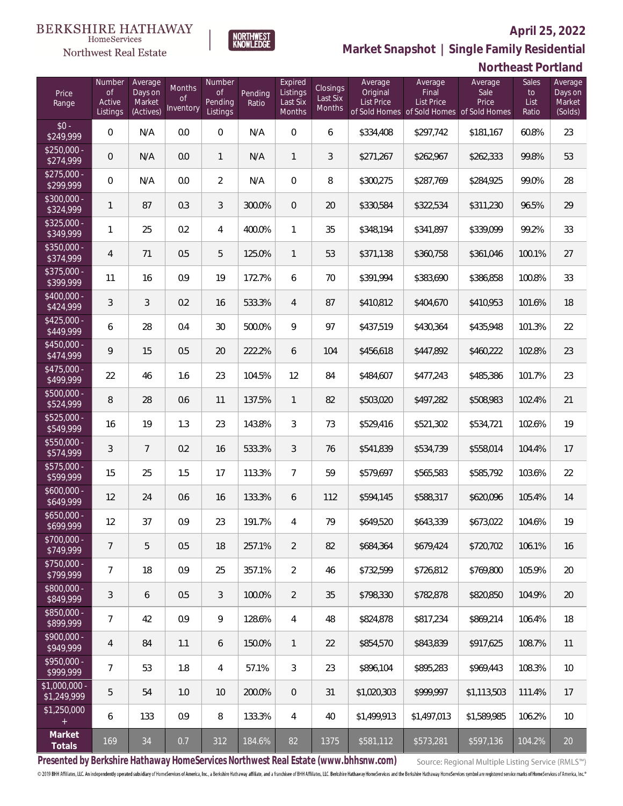

**NORTHWEST**<br>KNOWLEDGE

Northwest Real Estate

**Market Snapshot | Single Family Residential**

## **Northeast Portland**

| Price<br>Range                | Number<br>of<br>Active<br>Listings | Average<br>Days on<br>Market<br>(Actives) | <b>Months</b><br>0f<br>Inventory | Number<br><b>of</b><br>Pending<br>Listings | Pending<br>Ratio | Expired<br>Listings<br>Last Six<br>Months | Closings<br>Last Six<br>Months | Average<br>Original<br><b>List Price</b> | Average<br>Final<br><b>List Price</b><br>of Sold Homes of Sold Homes | Average<br>Sale<br>Price<br>of Sold Homes | Sales<br>to<br>List<br>Ratio | Average<br>Days on<br>Market<br>(Solds) |
|-------------------------------|------------------------------------|-------------------------------------------|----------------------------------|--------------------------------------------|------------------|-------------------------------------------|--------------------------------|------------------------------------------|----------------------------------------------------------------------|-------------------------------------------|------------------------------|-----------------------------------------|
| $$0 -$<br>\$249,999           | $\overline{0}$                     | N/A                                       | 0.0                              | $\overline{0}$                             | N/A              | $\overline{0}$                            | 6                              | \$334,408                                | \$297,742                                                            | \$181,167                                 | 60.8%                        | 23                                      |
| $$250,000 -$<br>\$274,999     | 0                                  | N/A                                       | 0.0                              | $\mathbf{1}$                               | N/A              | $\mathbf{1}$                              | 3                              | \$271,267                                | \$262,967                                                            | \$262,333                                 | 99.8%                        | 53                                      |
| $$275,000 -$<br>\$299,999     | $\overline{0}$                     | N/A                                       | 0.0                              | $\overline{2}$                             | N/A              | $\overline{0}$                            | 8                              | \$300,275                                | \$287,769                                                            | \$284,925                                 | 99.0%                        | 28                                      |
| \$300,000 -<br>\$324,999      | 1                                  | 87                                        | 0.3                              | 3                                          | 300.0%           | $\overline{0}$                            | 20                             | \$330,584                                | \$322,534                                                            | \$311,230                                 | 96.5%                        | 29                                      |
| $$325,000 -$<br>\$349,999     | 1                                  | 25                                        | 0.2                              | 4                                          | 400.0%           | $\mathbf{1}$                              | 35                             | \$348,194                                | \$341,897                                                            | \$339,099                                 | 99.2%                        | 33                                      |
| $$350,000 -$<br>\$374,999     | 4                                  | 71                                        | 0.5                              | 5                                          | 125.0%           | $\mathbf{1}$                              | 53                             | \$371,138                                | \$360,758                                                            | \$361,046                                 | 100.1%                       | 27                                      |
| $$375,000 -$<br>\$399,999     | 11                                 | 16                                        | 0.9                              | 19                                         | 172.7%           | 6                                         | 70                             | \$391,994                                | \$383,690                                                            | \$386,858                                 | 100.8%                       | 33                                      |
| $$400,000 -$<br>\$424,999     | 3                                  | 3                                         | 0.2                              | 16                                         | 533.3%           | $\overline{4}$                            | 87                             | \$410,812                                | \$404,670                                                            | \$410,953                                 | 101.6%                       | 18                                      |
| $$425,000 -$<br>\$449,999     | 6                                  | 28                                        | 0.4                              | 30                                         | 500.0%           | 9                                         | 97                             | \$437,519                                | \$430,364                                                            | \$435,948                                 | 101.3%                       | 22                                      |
| $$450,000 -$<br>\$474,999     | 9                                  | 15                                        | 0.5                              | 20                                         | 222.2%           | 6                                         | 104                            | \$456,618                                | \$447,892                                                            | \$460,222                                 | 102.8%                       | 23                                      |
| $$475,000 -$<br>\$499,999     | 22                                 | 46                                        | 1.6                              | 23                                         | 104.5%           | 12                                        | 84                             | \$484,607                                | \$477,243                                                            | \$485,386                                 | 101.7%                       | 23                                      |
| $$500,000 -$<br>\$524,999     | 8                                  | 28                                        | 0.6                              | 11                                         | 137.5%           | $\mathbf{1}$                              | 82                             | \$503,020                                | \$497,282                                                            | \$508,983                                 | 102.4%                       | 21                                      |
| $$525,000 -$<br>\$549,999     | 16                                 | 19                                        | 1.3                              | 23                                         | 143.8%           | 3                                         | 73                             | \$529,416                                | \$521,302                                                            | \$534,721                                 | 102.6%                       | 19                                      |
| \$550,000 -<br>\$574,999      | 3                                  | $\overline{7}$                            | 0.2                              | 16                                         | 533.3%           | 3                                         | 76                             | \$541,839                                | \$534,739                                                            | \$558,014                                 | 104.4%                       | 17                                      |
| $$575,000 -$<br>\$599,999     | 15                                 | 25                                        | 1.5                              | 17                                         | 113.3%           | $\overline{7}$                            | 59                             | \$579,697                                | \$565,583                                                            | \$585,792                                 | 103.6%                       | 22                                      |
| $$600,000 -$<br>\$649,999     | 12                                 | 24                                        | 0.6                              | 16                                         | 133.3%           | 6                                         | 112                            | \$594,145                                | \$588,317                                                            | \$620,096                                 | 105.4%                       | 14                                      |
| $$650,000 -$<br>\$699,999     | 12                                 | 37                                        | 0.9                              | 23                                         | 191.7%           | 4                                         | 79                             | \$649,520                                | \$643,339                                                            | \$673,022                                 | 104.6%                       | 19                                      |
| $$700,000 -$<br>\$749,999     | $\overline{7}$                     | 5                                         | 0.5                              | 18                                         | 257.1%           | $\overline{2}$                            | 82                             | \$684,364                                | \$679.424                                                            | \$720.702                                 | 106.1%                       | 16                                      |
| \$750,000 -<br>\$799,999      | 7                                  | 18                                        | 0.9                              | 25                                         | 357.1%           | $\overline{2}$                            | 46                             | \$732,599                                | \$726,812                                                            | \$769,800                                 | 105.9%                       | 20                                      |
| $$800,000 -$<br>849,999       | 3                                  | 6                                         | 0.5                              | 3                                          | 100.0%           | $\overline{2}$                            | 35                             | \$798,330                                | \$782,878                                                            | \$820,850                                 | 104.9%                       | 20                                      |
| $$850,000 -$<br>\$899,999     | $\overline{7}$                     | 42                                        | 0.9                              | $\mathcal{G}$                              | 128.6%           | $\overline{4}$                            | 48                             | \$824,878                                | \$817,234                                                            | \$869,214                                 | 106.4%                       | 18                                      |
| $$900,000 -$<br>\$949,999     | $\overline{4}$                     | 84                                        | 1.1                              | 6                                          | 150.0%           | $\mathbf{1}$                              | 22                             | \$854,570                                | \$843,839                                                            | \$917,625                                 | 108.7%                       | 11                                      |
| \$950,000 -<br>\$999,999      | $\overline{7}$                     | 53                                        | 1.8                              | 4                                          | 57.1%            | 3                                         | 23                             | \$896,104                                | \$895,283                                                            | \$969,443                                 | 108.3%                       | 10                                      |
| $$1,000,000 -$<br>\$1,249,999 | 5                                  | 54                                        | 1.0                              | 10                                         | 200.0%           | $\overline{0}$                            | 31                             | \$1,020,303                              | \$999,997                                                            | \$1,113,503                               | 111.4%                       | 17                                      |
| \$1,250,000<br>$+$            | 6                                  | 133                                       | 0.9                              | 8                                          | 133.3%           | $\overline{4}$                            | 40                             | \$1,499,913                              | \$1,497,013                                                          | \$1,589,985                               | 106.2%                       | 10                                      |
| Market<br>Totals              | 169                                | 34                                        | 0.7                              | 312                                        | 184.6%           | 82                                        | 1375                           | \$581,112                                | \$573,281                                                            | \$597,136                                 | 104.2%                       | 20                                      |

**Presented by Berkshire Hathaway HomeServices Northwest Real Estate (www.bhhsnw.com)**

Source: Regional Multiple Listing Service (RMLS™)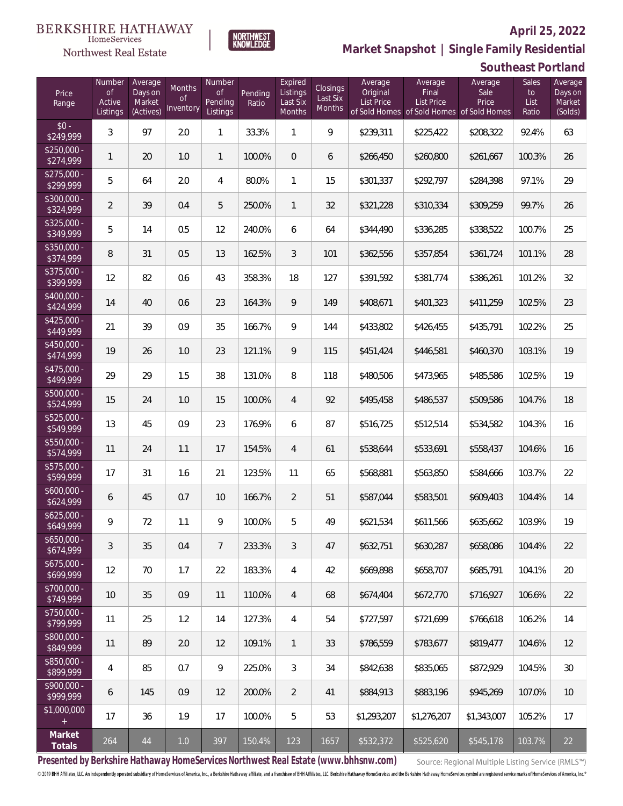

**NORTHWEST**<br>KNOWLEDGE

Northwest Real Estate

# **Market Snapshot | Single Family Residential**

## **Southeast Portland**

| Price<br>Range                    | Number<br>of<br>Active<br>Listings | Average<br>Days on<br>Market<br>(Actives) | Months<br>Οf<br>Inventory | Number<br><b>of</b><br>Pending<br>Listings | Pending<br>Ratio | Expired<br>Listings<br>Last Six<br>Months | Closings<br>Last Six<br><b>Months</b> | Average<br>Original<br><b>List Price</b> | Average<br>Final<br>List Price<br>of Sold Homes of Sold Homes of Sold Homes | Average<br>Sale<br>Price | Sales<br>to<br>List<br>Ratio | Average<br>Days on<br>Market<br>(Solds) |
|-----------------------------------|------------------------------------|-------------------------------------------|---------------------------|--------------------------------------------|------------------|-------------------------------------------|---------------------------------------|------------------------------------------|-----------------------------------------------------------------------------|--------------------------|------------------------------|-----------------------------------------|
| $$0 -$<br>\$249,999               | 3                                  | 97                                        | 2.0                       | $\mathbf{1}$                               | 33.3%            | 1                                         | 9                                     | \$239,311                                | \$225,422                                                                   | \$208,322                | 92.4%                        | 63                                      |
| $$250,000 -$<br>\$274,999         | 1                                  | 20                                        | 1.0                       | $\mathbf{1}$                               | 100.0%           | $\overline{0}$                            | 6                                     | \$266,450                                | \$260,800                                                                   | \$261,667                | 100.3%                       | 26                                      |
| $$275,000 -$<br>\$299,999         | 5                                  | 64                                        | 2.0                       | 4                                          | 80.0%            | $\mathbf{1}$                              | 15                                    | \$301,337                                | \$292,797                                                                   | \$284,398                | 97.1%                        | 29                                      |
| $$300,000 -$<br>\$324,999         | $\overline{2}$                     | 39                                        | 0.4                       | 5                                          | 250.0%           | $\mathbf{1}$                              | 32                                    | \$321,228                                | \$310,334                                                                   | \$309,259                | 99.7%                        | 26                                      |
| $$325,000 -$<br>\$349,999         | 5                                  | 14                                        | 0.5                       | 12                                         | 240.0%           | 6                                         | 64                                    | \$344,490                                | \$336,285                                                                   | \$338,522                | 100.7%                       | 25                                      |
| $$350,000 -$<br>\$374,999         | 8                                  | 31                                        | 0.5                       | 13                                         | 162.5%           | 3                                         | 101                                   | \$362,556                                | \$357,854                                                                   | \$361,724                | 101.1%                       | 28                                      |
| $$375,000 -$<br>\$399,999         | 12                                 | 82                                        | 0.6                       | 43                                         | 358.3%           | 18                                        | 127                                   | \$391,592                                | \$381,774                                                                   | \$386,261                | 101.2%                       | 32                                      |
| $$400,000 -$<br>\$424,999         | 14                                 | 40                                        | 0.6                       | 23                                         | 164.3%           | 9                                         | 149                                   | \$408,671                                | \$401,323                                                                   | \$411,259                | 102.5%                       | 23                                      |
| $$425,000 -$<br>\$449,999         | 21                                 | 39                                        | 0.9                       | 35                                         | 166.7%           | 9                                         | 144                                   | \$433,802                                | \$426,455                                                                   | \$435,791                | 102.2%                       | 25                                      |
| $$450,000 -$<br>\$474,999         | 19                                 | 26                                        | 1.0                       | 23                                         | 121.1%           | 9                                         | 115                                   | \$451,424                                | \$446,581                                                                   | \$460,370                | 103.1%                       | 19                                      |
| $$475,000 -$<br>$\sqrt{$499,999}$ | 29                                 | 29                                        | 1.5                       | 38                                         | 131.0%           | 8                                         | 118                                   | \$480,506                                | \$473,965                                                                   | \$485,586                | 102.5%                       | 19                                      |
| $$500,000 -$<br>\$524,999         | 15                                 | 24                                        | 1.0                       | 15                                         | 100.0%           | $\overline{4}$                            | 92                                    | \$495,458                                | \$486,537                                                                   | \$509,586                | 104.7%                       | 18                                      |
| $$525,000 -$<br>\$549,999         | 13                                 | 45                                        | 0.9                       | 23                                         | 176.9%           | 6                                         | 87                                    | \$516,725                                | \$512,514                                                                   | \$534,582                | 104.3%                       | 16                                      |
| $$550,000 -$<br>\$574,999         | 11                                 | 24                                        | 1.1                       | 17                                         | 154.5%           | $\overline{4}$                            | 61                                    | \$538,644                                | \$533,691                                                                   | \$558,437                | 104.6%                       | 16                                      |
| $$575,000 -$<br>\$599,999         | 17                                 | 31                                        | 1.6                       | 21                                         | 123.5%           | 11                                        | 65                                    | \$568,881                                | \$563,850                                                                   | \$584,666                | 103.7%                       | 22                                      |
| $$600,000 -$<br>\$624,999         | 6                                  | 45                                        | 0.7                       | 10                                         | 166.7%           | $\overline{2}$                            | 51                                    | \$587,044                                | \$583,501                                                                   | \$609,403                | 104.4%                       | 14                                      |
| $$625,000 -$<br>\$649,999         | 9                                  | 72                                        | 1.1                       | 9                                          | 100.0%           | 5                                         | 49                                    | \$621,534                                | \$611,566                                                                   | \$635,662                | 103.9%                       | 19                                      |
| $$650,000 -$<br>\$674,999         | 3                                  | 35                                        | 0.4                       | 7                                          | 233.3%           | 3                                         | 47                                    | \$632,751                                | \$630,287                                                                   | \$658,086                | 104.4%                       | 22                                      |
| $$675,000 -$<br>\$699,999         | 12                                 | 70                                        | 1.7                       | 22                                         | 183.3%           | $\overline{4}$                            | 42                                    | \$669,898                                | \$658,707                                                                   | \$685,791                | 104.1%                       | 20                                      |
| \$700,000 -<br>\$749,999          | 10                                 | 35                                        | 0.9                       | 11                                         | 110.0%           | $\overline{4}$                            | 68                                    | \$674,404                                | \$672,770                                                                   | \$716,927                | 106.6%                       | 22                                      |
| $$750,000 -$<br>\$799,999         | 11                                 | 25                                        | 1.2                       | 14                                         | 127.3%           | $\overline{4}$                            | 54                                    | \$727,597                                | \$721,699                                                                   | \$766,618                | 106.2%                       | 14                                      |
| $$800,000 -$<br>\$849,999         | 11                                 | 89                                        | 2.0                       | 12                                         | 109.1%           | $\mathbf{1}$                              | 33                                    | \$786,559                                | \$783,677                                                                   | \$819,477                | 104.6%                       | 12                                      |
| $$850,000 -$<br>\$899,999         | 4                                  | 85                                        | 0.7                       | $\mathcal{G}$                              | 225.0%           | $\mathfrak{Z}$                            | 34                                    | \$842,638                                | \$835,065                                                                   | \$872,929                | 104.5%                       | 30                                      |
| $$900,000 -$<br>\$999,999         | 6                                  | 145                                       | 0.9                       | 12                                         | 200.0%           | $\overline{2}$                            | 41                                    | \$884,913                                | \$883,196                                                                   | \$945,269                | 107.0%                       | 10                                      |
| \$1,000,000<br>$+$                | 17                                 | 36                                        | 1.9                       | 17                                         | 100.0%           | 5                                         | 53                                    | \$1,293,207                              | \$1,276,207                                                                 | \$1,343,007              | 105.2%                       | 17                                      |
| Market<br>Totals                  | 264                                | $44\,$                                    | $1.0$                     | 397                                        | 150.4%           | 123                                       | 1657                                  | \$532,372                                | \$525,620                                                                   | \$545,178                | 103.7%                       | 22                                      |

**Presented by Berkshire Hathaway HomeServices Northwest Real Estate (www.bhhsnw.com)**

Source: Regional Multiple Listing Service (RMLS™)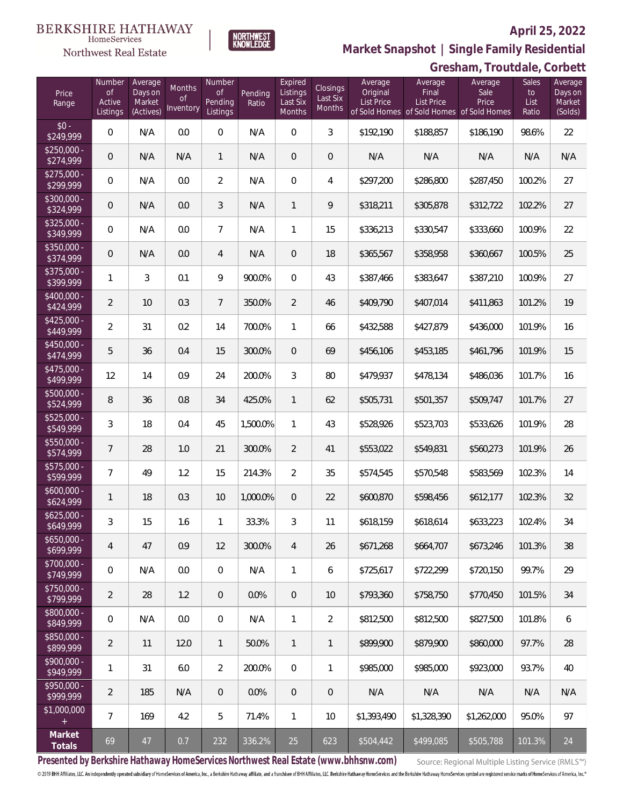

**Market Snapshot | Single Family Residential**

#### **BERKSHIRE HATHAWAY**  $\label{lem:sevices} \textsc{Home} \textsc{Service} \textsc{s}$ Northwest Real Estate

|                           |                                           |                                           |                           |                                            |                  |                                           |                                |                                   |                                                                                    | Gresham, Troutdale, Corbett |                              |                                         |
|---------------------------|-------------------------------------------|-------------------------------------------|---------------------------|--------------------------------------------|------------------|-------------------------------------------|--------------------------------|-----------------------------------|------------------------------------------------------------------------------------|-----------------------------|------------------------------|-----------------------------------------|
| Price<br>Range            | Number<br><b>of</b><br>Active<br>Listings | Average<br>Days on<br>Market<br>(Actives) | Months<br>0f<br>Inventory | Number<br><b>of</b><br>Pending<br>Listings | Pending<br>Ratio | Expired<br>Listings<br>Last Six<br>Months | Closings<br>Last Six<br>Months | Average<br>Original<br>List Price | Average<br>Final<br><b>List Price</b><br>of Sold Homes of Sold Homes of Sold Homes | Average<br>Sale<br>Price    | Sales<br>to<br>List<br>Ratio | Average<br>Days on<br>Market<br>(Solds) |
| $$0 -$<br>\$249,999       | $\mathbf 0$                               | N/A                                       | 0.0                       | $\mathbf 0$                                | N/A              | $\overline{0}$                            | $\mathfrak{Z}$                 | \$192,190                         | \$188,857                                                                          | \$186,190                   | 98.6%                        | 22                                      |
| $$250,000 -$<br>\$274,999 | 0                                         | N/A                                       | N/A                       | $\mathbf{1}$                               | N/A              | $\mathbf{0}$                              | $\mathbf 0$                    | N/A                               | N/A                                                                                | N/A                         | N/A                          | N/A                                     |
| $$275,000 -$<br>\$299,999 | $\mathbf 0$                               | N/A                                       | 0.0                       | $\overline{2}$                             | N/A              | $\mathbf{0}$                              | 4                              | \$297,200                         | \$286,800                                                                          | \$287,450                   | 100.2%                       | 27                                      |
| \$300,000 -<br>\$324,999  | $\overline{0}$                            | N/A                                       | 0.0                       | 3                                          | N/A              | $\mathbf{1}$                              | 9                              | \$318,211                         | \$305,878                                                                          | \$312,722                   | 102.2%                       | 27                                      |
| $$325,000 -$<br>\$349,999 | $\overline{0}$                            | N/A                                       | 0.0                       | $\overline{7}$                             | N/A              | 1                                         | 15                             | \$336,213                         | \$330,547                                                                          | \$333,660                   | 100.9%                       | 22                                      |
| $$350,000 -$<br>\$374,999 | $\overline{0}$                            | N/A                                       | 0.0                       | 4                                          | N/A              | $\mathbf 0$                               | 18                             | \$365,567                         | \$358,958                                                                          | \$360,667                   | 100.5%                       | 25                                      |
| \$375,000 -<br>\$399,999  | $\mathbf{1}$                              | $\mathfrak{Z}$                            | 0.1                       | 9                                          | 900.0%           | $\mathbf 0$                               | 43                             | \$387,466                         | \$383,647                                                                          | \$387,210                   | 100.9%                       | 27                                      |
| $$400,000 -$<br>\$424,999 | $\overline{2}$                            | 10                                        | 0.3                       | $\overline{7}$                             | 350.0%           | $\overline{2}$                            | 46                             | \$409,790                         | \$407,014                                                                          | \$411,863                   | 101.2%                       | 19                                      |
| $$425,000 -$<br>\$449,999 | $\overline{2}$                            | 31                                        | 0.2                       | 14                                         | 700.0%           | $\mathbf{1}$                              | 66                             | \$432,588                         | \$427,879                                                                          | \$436,000                   | 101.9%                       | 16                                      |
| \$450,000 -<br>\$474,999  | $\mathbf 5$                               | 36                                        | 0.4                       | 15                                         | 300.0%           | $\mathbf 0$                               | 69                             | \$456,106                         | \$453,185                                                                          | \$461,796                   | 101.9%                       | 15                                      |
| $$475,000 -$<br>\$499,999 | 12                                        | 14                                        | 0.9                       | 24                                         | 200.0%           | 3                                         | 80                             | \$479,937                         | \$478,134                                                                          | \$486,036                   | 101.7%                       | 16                                      |
| $$500,000 -$<br>\$524,999 | 8                                         | 36                                        | 0.8                       | 34                                         | 425.0%           | $\mathbf{1}$                              | 62                             | \$505,731                         | \$501,357                                                                          | \$509,747                   | 101.7%                       | 27                                      |
| $$525,000 -$<br>\$549,999 | 3                                         | 18                                        | 0.4                       | 45                                         | 1,500.0%         | 1                                         | 43                             | \$528,926                         | \$523,703                                                                          | \$533,626                   | 101.9%                       | 28                                      |
| $$550,000 -$<br>\$574,999 | $\overline{7}$                            | 28                                        | 1.0                       | 21                                         | 300.0%           | $\overline{2}$                            | 41                             | \$553,022                         | \$549,831                                                                          | \$560,273                   | 101.9%                       | 26                                      |
| $$575,000 -$<br>\$599,999 | $\overline{7}$                            | 49                                        | 1.2                       | 15                                         | 214.3%           | $\overline{2}$                            | 35                             | \$574,545                         | \$570,548                                                                          | \$583,569                   | 102.3%                       | 14                                      |
| $$600,000 -$<br>\$624,999 | $\mathbf{1}$                              | 18                                        | 0.3                       | 10                                         | 1,000.0%         | $\overline{0}$                            | 22                             | \$600,870                         | \$598,456                                                                          | \$612,177                   | 102.3%                       | 32                                      |
| \$625,000.<br>\$649,999   | 3                                         | 15                                        | 1.6                       | 1                                          | 33.3%            | 3                                         | 11                             | \$618,159                         | \$618,614                                                                          | \$633,223                   | 102.4%                       | 34                                      |
| $$650,000 -$<br>\$699,999 | 4                                         | 47                                        | 0.9                       | 12                                         | 300.0%           | $\overline{4}$                            | 26                             | \$671,268                         | \$664,707                                                                          | \$673,246                   | 101.3%                       | 38                                      |
| $$700.000 -$<br>\$749,999 | $\mathbf 0$                               | N/A                                       | 0.0                       | $\overline{0}$                             | N/A              | $\mathbf{1}$                              | 6                              | \$725,617                         | \$722,299                                                                          | \$720,150                   | 99.7%                        | 29                                      |
| $$750,000 -$<br>\$799,999 | $\overline{2}$                            | 28                                        | 1.2                       | $\overline{0}$                             | 0.0%             | $\overline{0}$                            | 10                             | \$793,360                         | \$758,750                                                                          | \$770,450                   | 101.5%                       | 34                                      |
| \$800,000 -<br>\$849,999  | $\mathbf 0$                               | N/A                                       | 0.0                       | $\overline{0}$                             | N/A              | $\mathbf{1}$                              | $\overline{2}$                 | \$812,500                         | \$812,500                                                                          | \$827,500                   | 101.8%                       | 6                                       |
| $$850,000 -$<br>\$899,999 | $\overline{2}$                            | 11                                        | 12.0                      | $\mathbf{1}$                               | 50.0%            | 1                                         | $\mathbf{1}$                   | \$899,900                         | \$879,900                                                                          | \$860,000                   | 97.7%                        | 28                                      |
| $$900.000 -$<br>\$949,999 | 1                                         | 31                                        | 6.0                       | $\overline{2}$                             | 200.0%           | $\overline{0}$                            | $\mathbf{1}$                   | \$985,000                         | \$985,000                                                                          | \$923,000                   | 93.7%                        | 40                                      |
| $$950.000 -$<br>\$999,999 | $\overline{2}$                            | 185                                       | N/A                       | $\overline{0}$                             | $0.0\%$          | $\overline{0}$                            | $\mathbf{0}$                   | N/A                               | N/A                                                                                | N/A                         | N/A                          | N/A                                     |
| \$1,000,000               | $\overline{7}$                            | 169                                       | 4.2                       | 5                                          | 71.4%            | $\mathbf{1}$                              | 10                             | \$1,393,490                       | \$1,328,390                                                                        | \$1,262,000                 | 95.0%                        | 97                                      |
| Market<br>Totals          | 69                                        | 47                                        | 0.7                       | 232                                        | 336.2%           | 25                                        | 623                            | \$504,442                         | \$499,085                                                                          | \$505,788                   | 101.3%                       | 24                                      |

**Presented by Berkshire Hathaway HomeServices Northwest Real Estate (www.bhhsnw.com)**

Source: Regional Multiple Listing Service (RMLS™)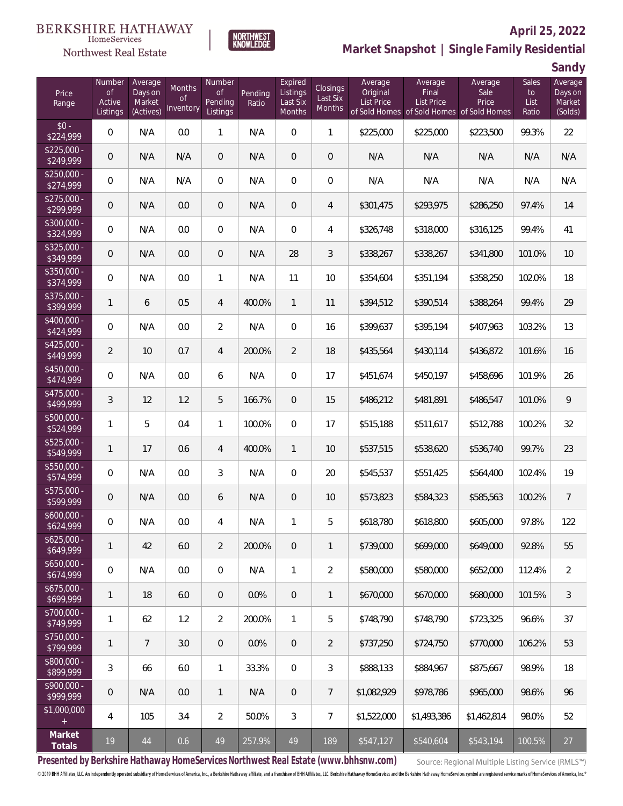#### **BERKSHIRE HATHAWAY** HomeServices

# Northwest Real Estate



## **April 25, 2022 Market Snapshot | Single Family Residential**

**Sandy**

| Price<br>Range                   | Number<br>$\mathsf{of}$<br>Active<br>Listings | Average<br>Days on<br>Market<br>(Actives) | Months<br>0f<br>Inventory | Number<br>0f<br>Pending<br>Listings | Pending<br>Ratio | Expired<br>Listings<br>Last Six<br><b>Months</b> | Closings<br>Last Six<br>Months | Average<br>Original<br><b>List Price</b> | Average<br>Final<br><b>List Price</b><br>of Sold Homes of Sold Homes of Sold Homes | Average<br>Sale<br>Price | Sales<br>to<br>List<br>Ratio | Average<br>Days on<br>Market<br>(Solds) |
|----------------------------------|-----------------------------------------------|-------------------------------------------|---------------------------|-------------------------------------|------------------|--------------------------------------------------|--------------------------------|------------------------------------------|------------------------------------------------------------------------------------|--------------------------|------------------------------|-----------------------------------------|
| $$0 -$<br>\$224,999              | $\overline{0}$                                | N/A                                       | 0.0                       | $\mathbf{1}$                        | N/A              | $\overline{0}$                                   | 1                              | \$225,000                                | \$225,000                                                                          | \$223,500                | 99.3%                        | 22                                      |
| $$225,000 -$<br>\$249,999        | $\overline{0}$                                | N/A                                       | N/A                       | $\overline{0}$                      | N/A              | $\overline{0}$                                   | $\mathbf 0$                    | N/A                                      | N/A                                                                                | N/A                      | N/A                          | N/A                                     |
| $$250.000 -$<br>\$274,999        | $\mathbf 0$                                   | N/A                                       | N/A                       | $\mathbf{0}$                        | N/A              | 0                                                | 0                              | N/A                                      | N/A                                                                                | N/A                      | N/A                          | N/A                                     |
| $$275.000 -$<br>\$299,999        | $\overline{0}$                                | N/A                                       | 0.0                       | $\theta$                            | N/A              | $\overline{0}$                                   | $\overline{4}$                 | \$301,475                                | \$293,975                                                                          | \$286,250                | 97.4%                        | 14                                      |
| \$300,000 -<br>\$324,999         | $\mathbf 0$                                   | N/A                                       | 0.0                       | $\overline{0}$                      | N/A              | $\overline{0}$                                   | 4                              | \$326,748                                | \$318,000                                                                          | \$316,125                | 99.4%                        | 41                                      |
| $$325,000 -$<br>\$349,999        | $\overline{0}$                                | N/A                                       | 0.0                       | $\theta$                            | N/A              | 28                                               | 3                              | \$338,267                                | \$338,267                                                                          | \$341,800                | 101.0%                       | 10                                      |
| \$350,000 -<br>\$374,999         | $\mathbf 0$                                   | N/A                                       | 0.0                       | $\mathbf{1}$                        | N/A              | 11                                               | 10                             | \$354,604                                | \$351,194                                                                          | \$358,250                | 102.0%                       | 18                                      |
| \$375,000 -<br>\$399,999         | $\mathbf{1}$                                  | 6                                         | 0.5                       | $\overline{4}$                      | 400.0%           | $\mathbf{1}$                                     | 11                             | \$394,512                                | \$390,514                                                                          | \$388,264                | 99.4%                        | 29                                      |
| \$400,000 -<br>\$424,999         | $\mathbf 0$                                   | N/A                                       | 0.0                       | $\overline{2}$                      | N/A              | $\overline{0}$                                   | 16                             | \$399,637                                | \$395,194                                                                          | \$407,963                | 103.2%                       | 13                                      |
| $$425,000 -$<br>\$449,999        | $\overline{2}$                                | 10                                        | 0.7                       | $\overline{4}$                      | 200.0%           | $\overline{2}$                                   | 18                             | \$435,564                                | \$430,114                                                                          | \$436,872                | 101.6%                       | 16                                      |
| $$450,000 -$<br>\$474,999        | $\mathbf 0$                                   | N/A                                       | 0.0                       | 6                                   | N/A              | $\overline{0}$                                   | 17                             | \$451,674                                | \$450,197                                                                          | \$458,696                | 101.9%                       | 26                                      |
| \$475,000 -<br>\$499,999         | 3                                             | 12                                        | 1.2                       | 5                                   | 166.7%           | $\overline{0}$                                   | 15                             | \$486,212                                | \$481,891                                                                          | \$486,547                | 101.0%                       | 9                                       |
| \$500,000 -<br>\$524,999         | $\mathbf{1}$                                  | 5                                         | 0.4                       | $\mathbf{1}$                        | 100.0%           | $\overline{0}$                                   | 17                             | \$515,188                                | \$511,617                                                                          | \$512,788                | 100.2%                       | 32                                      |
| $$525,000 -$<br>\$549,999        | $\mathbf{1}$                                  | 17                                        | 0.6                       | $\overline{4}$                      | 400.0%           | $\mathbf{1}$                                     | 10                             | \$537,515                                | \$538,620                                                                          | \$536,740                | 99.7%                        | 23                                      |
| \$550,000 -<br>$\sqrt{$574,999}$ | $\mathbf 0$                                   | N/A                                       | 0.0                       | 3                                   | N/A              | $\overline{0}$                                   | 20                             | \$545,537                                | \$551,425                                                                          | \$564,400                | 102.4%                       | 19                                      |
| \$575,000 -<br>\$599,999         | $\overline{0}$                                | N/A                                       | 0.0                       | 6                                   | N/A              | $\overline{0}$                                   | 10                             | \$573,823                                | \$584,323                                                                          | \$585,563                | 100.2%                       | $\overline{7}$                          |
| $$600,000 -$<br>\$624,999        | 0                                             | N/A                                       | 0.0                       | 4                                   | N/A              | 1                                                | 5                              | \$618,780                                | \$618,800                                                                          | \$605,000                | 97.8%                        | 122                                     |
| $$625,000 -$<br>\$649,999        | $\mathbf{1}$                                  | 42                                        | 6.0                       | $\overline{2}$                      | 200.0%           | $\overline{0}$                                   | 1                              | \$739,000                                | \$699,000                                                                          | \$649,000                | 92.8%                        | 55                                      |
| $$650,000 -$<br>\$674,999        | $\mathbf 0$                                   | N/A                                       | 0.0                       | $\mathbf{0}$                        | N/A              | $\mathbf{1}$                                     | 2                              | \$580,000                                | \$580,000                                                                          | \$652,000                | 112.4%                       | 2                                       |
| $$675,000 -$<br>\$699,999        | $\mathbf{1}$                                  | 18                                        | 6.0                       | $\theta$                            | 0.0%             | $\mathbf{0}$                                     | 1                              | \$670,000                                | \$670,000                                                                          | \$680,000                | 101.5%                       | 3                                       |
| \$700,000 -<br>\$749,999         | $\mathbf{1}$                                  | 62                                        | 1.2                       | $\overline{2}$                      | 200.0%           | $\mathbf{1}$                                     | 5                              | \$748,790                                | \$748,790                                                                          | \$723.325                | 96.6%                        | 37                                      |
| $$750,000 -$<br>\$799,999        | $\mathbf{1}$                                  | $\overline{7}$                            | 3.0                       | $\theta$                            | 0.0%             | $\mathbf{0}$                                     | $\overline{2}$                 | \$737,250                                | \$724,750                                                                          | \$770,000                | 106.2%                       | 53                                      |
| \$800,000 -<br>\$899,999         | 3                                             | 66                                        | 6.0                       | $\mathbf{1}$                        | 33.3%            | $\overline{0}$                                   | 3                              | \$888,133                                | \$884,967                                                                          | \$875,667                | 98.9%                        | 18                                      |
| \$900,000 -<br>\$999,999         | $\mathbf 0$                                   | N/A                                       | 0.0                       | $\mathbf{1}$                        | N/A              | $\overline{0}$                                   | 7                              | \$1,082,929                              | \$978,786                                                                          | \$965,000                | 98.6%                        | 96                                      |
| \$1,000,000                      | $\overline{4}$                                | 105                                       | 3.4                       | $\overline{2}$                      | 50.0%            | 3                                                | $\overline{7}$                 | \$1,522,000                              | \$1,493,386                                                                        | \$1,462,814              | 98.0%                        | 52                                      |
| Market<br>Totals                 | 19                                            | $44\,$                                    | 0.6                       | 49                                  | 257.9%           | 49                                               | 189                            | \$547,127                                | \$540,604                                                                          | \$543,194                | 100.5%                       | 27                                      |

**Presented by Berkshire Hathaway HomeServices Northwest Real Estate (www.bhhsnw.com)**

Source: Regional Multiple Listing Service (RMLS™)